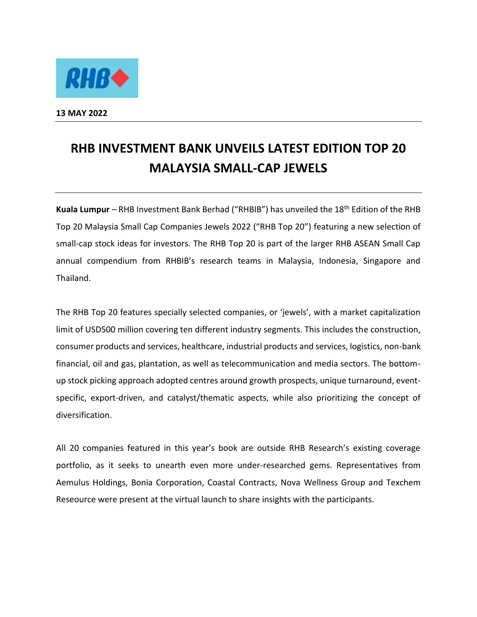

**13 MAY 2022** 

## **RHB INVESTMENT BANK UNVEILS LATEST EDITION TOP 20 MALAYSIA SMALL-CAP JEWELS**

**Kuala Lumpur** – RHB Investment Bank Berhad ("RHBIB") has unveiled the 18th Edition of the RHB Top 20 Malaysia Small Cap Companies Jewels 2022 ("RHB Top 20") featuring a new selection of small-cap stock ideas for investors. The RHB Top 20 is part of the larger RHB ASEAN Small Cap annual compendium from RHBIB's research teams in Malaysia, Indonesia, Singapore and Thailand.

The RHB Top 20 features specially selected companies, or 'jewels', with a market capitalization limit of USD500 million covering ten different industry segments. This includes the construction, consumer products and services, healthcare, industrial products and services, logistics, non-bank financial, oil and gas, plantation, as well as telecommunication and media sectors. The bottomup stock picking approach adopted centres around growth prospects, unique turnaround, eventspecific, export-driven, and catalyst/thematic aspects, while also prioritizing the concept of diversification.

All 20 companies featured in this year's book are outside RHB Research's existing coverage portfolio, as it seeks to unearth even more under-researched gems. Representatives from Aemulus Holdings, Bonia Corporation, Coastal Contracts, Nova Wellness Group and Texchem Reseource were present at the virtual launch to share insights with the participants.